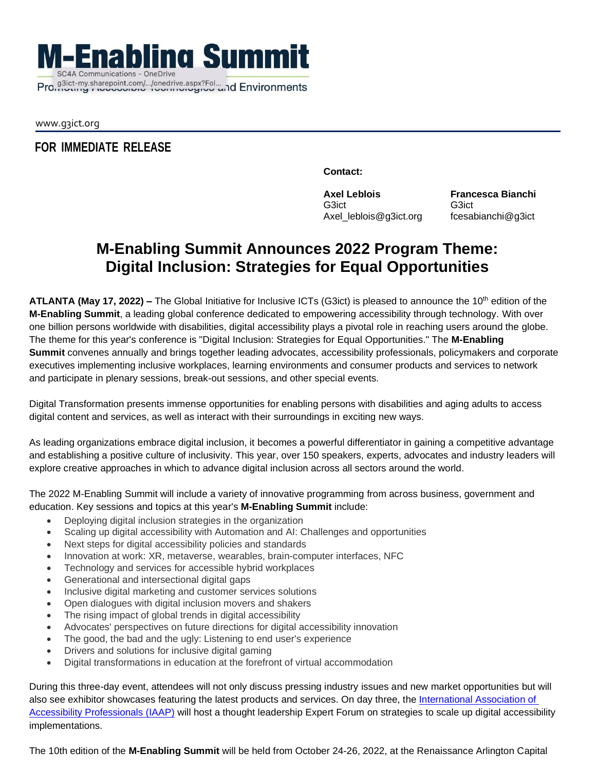**M-Enabling Summit SC4A Communications - OneDrive** 

www.g3ict.org

## **FOR IMMEDIATE RELEASE**

**Contact:**

**Axel Leblois** G3ict Axel\_leblois@g3ict.org **Francesca Bianchi** G3ict fcesabianchi@g3ict

## **M-Enabling Summit Announces 2022 Program Theme: Digital Inclusion: Strategies for Equal Opportunities**

**ATLANTA (May 17, 2022) –** The Global Initiative for Inclusive ICTs (G3ict) is pleased to announce the 10th edition of the **M-Enabling Summit**, a leading global conference dedicated to empowering accessibility through technology. With over one billion persons worldwide with disabilities, digital accessibility plays a pivotal role in reaching users around the globe. The theme for this year's conference is "Digital Inclusion: Strategies for Equal Opportunities." The **M-Enabling Summit** convenes annually and brings together leading advocates, accessibility professionals, policymakers and corporate executives implementing inclusive workplaces, learning environments and consumer products and services to network and participate in plenary sessions, break-out sessions, and other special events.

Digital Transformation presents immense opportunities for enabling persons with disabilities and aging adults to access digital content and services, as well as interact with their surroundings in exciting new ways.

As leading organizations embrace digital inclusion, it becomes a powerful differentiator in gaining a competitive advantage and establishing a positive culture of inclusivity. This year, over 150 speakers, experts, advocates and industry leaders will explore creative approaches in which to advance digital inclusion across all sectors around the world.

The 2022 M-Enabling Summit will include a variety of innovative programming from across business, government and education. Key sessions and topics at this year's **M-Enabling Summit** include:

- Deploying digital inclusion strategies in the organization
- Scaling up digital accessibility with Automation and AI: Challenges and opportunities
- Next steps for digital accessibility policies and standards
- Innovation at work: XR, metaverse, wearables, brain-computer interfaces, NFC
- Technology and services for accessible hybrid workplaces
- Generational and intersectional digital gaps
- Inclusive digital marketing and customer services solutions
- Open dialogues with digital inclusion movers and shakers
- The rising impact of global trends in digital accessibility
- Advocates' perspectives on future directions for digital accessibility innovation
- The good, the bad and the ugly: Listening to end user's experience
- Drivers and solutions for inclusive digital gaming
- Digital transformations in education at the forefront of virtual accommodation

During this three-day event, attendees will not only discuss pressing industry issues and new market opportunities but will also see exhibitor showcases featuring the latest products and services. On day three, the International Association of Accessibility Professionals (IAAP) will host a thought leadership Expert Forum on strategies to scale up digital accessibility implementations.

The 10th edition of the **M-Enabling Summit** will be held from October 24-26, 2022, at the Renaissance Arlington Capital